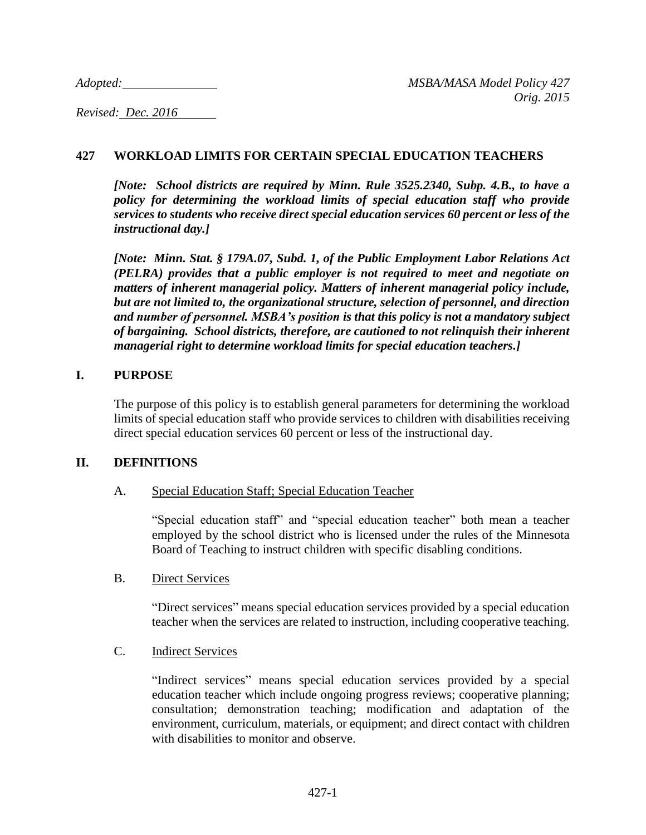*Adopted: MSBA/MASA Model Policy 427*

*Revised: Dec. 2016* 

# **427 WORKLOAD LIMITS FOR CERTAIN SPECIAL EDUCATION TEACHERS**

*[Note: School districts are required by Minn. Rule 3525.2340, Subp. 4.B., to have a policy for determining the workload limits of special education staff who provide services to students who receive direct special education services 60 percent or less of the instructional day.]* 

*[Note: Minn. Stat. § 179A.07, Subd. 1, of the Public Employment Labor Relations Act (PELRA) provides that a public employer is not required to meet and negotiate on matters of inherent managerial policy. Matters of inherent managerial policy include, but are not limited to, the organizational structure, selection of personnel, and direction and number of personnel. MSBA's position is that this policy is not a mandatory subject of bargaining. School districts, therefore, are cautioned to not relinquish their inherent managerial right to determine workload limits for special education teachers.]*

## **I. PURPOSE**

The purpose of this policy is to establish general parameters for determining the workload limits of special education staff who provide services to children with disabilities receiving direct special education services 60 percent or less of the instructional day.

# **II. DEFINITIONS**

# A. Special Education Staff; Special Education Teacher

"Special education staff" and "special education teacher" both mean a teacher employed by the school district who is licensed under the rules of the Minnesota Board of Teaching to instruct children with specific disabling conditions.

#### B. Direct Services

"Direct services" means special education services provided by a special education teacher when the services are related to instruction, including cooperative teaching.

# C. Indirect Services

"Indirect services" means special education services provided by a special education teacher which include ongoing progress reviews; cooperative planning; consultation; demonstration teaching; modification and adaptation of the environment, curriculum, materials, or equipment; and direct contact with children with disabilities to monitor and observe.